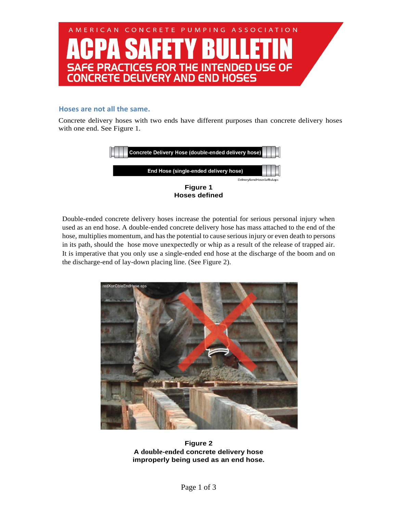

## **Hoses are not all the same.**

Concrete delivery hoses with two ends have different purposes than concrete delivery hoses with one end. See Figure 1.



Double-ended concrete delivery hoses increase the potential for serious personal injury when used as an end hose. A double-ended concrete delivery hose has mass attached to the end of the hose, multiplies momentum, and has the potential to cause serious injury or even death to persons in its path, should the hose move unexpectedly or whip as a result of the release of trapped air. It is imperative that you only use a single-ended end hose at the discharge of the boom and on the discharge-end of lay-down placing line. (See Figure 2).



**Figure 2 A double-ended concrete delivery hose improperly being used as an end hose.**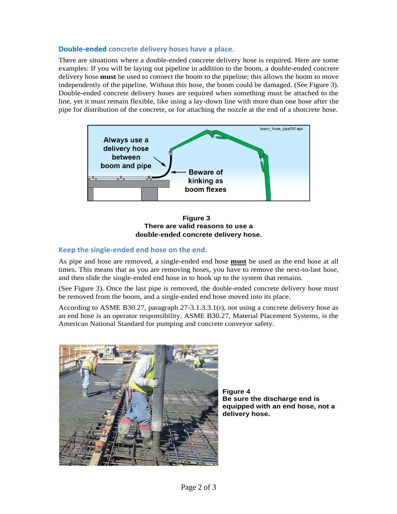## **Double-ended concrete delivery hoses have a place.**

There are situations where a double-ended concrete delivery hose is required. Here are some examples: If you will be laying out pipeline in addition to the boom, a double-ended concrete delivery hose **must** be used to connect the boom to the pipeline; this allows the boom to move independently of the pipeline. Without this hose, the boom could be damaged. (See Figure 3). Double-ended concrete delivery hoses are required when something must be attached to the line, yet it must remain flexible, like using a lay-down line with more than one hose after the pipe for distribution of the concrete, or for attaching the nozzle at the end of a shotcrete hose.



 **Figure 3 There are valid reasons to use a double-ended concrete delivery hose.**

## **Keep the single-ended end hose on the end.**

As pipe and hose are removed, a single-ended end hose **must** be used as the end hose at all times. This means that as you are removing hoses, you have to remove the next-to-last hose, and then slide the single-ended end hose in to hook up to the system that remains.

(See Figure 3). Once the last pipe is removed, the double-ended concrete delivery hose must be removed from the boom, and a single-ended end hose moved into its place.

According to ASME B30.27, paragraph 27-3.1.3.3.1(r), not using a concrete delivery hose as an end hose is an operator responsibility. ASME B30.27, Material Placement Systems, is the American National Standard for pumping and concrete conveyor safety.



**Figure 4 Be sure the discharge end is equipped with an end hose, not a delivery hose.**